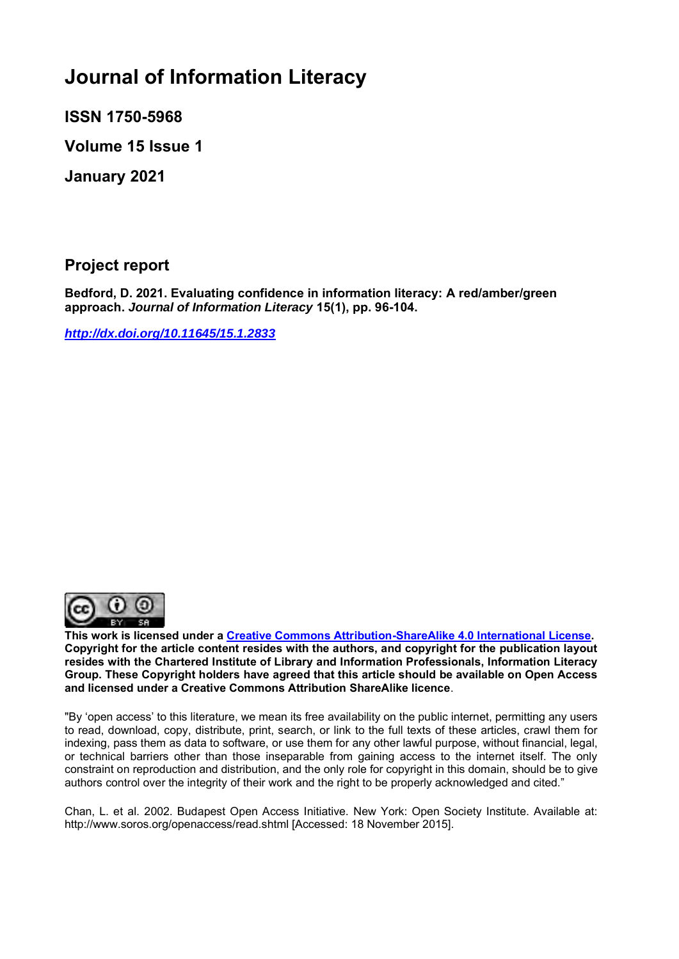# **Journal of Information Literacy**

**ISSN 1750-5968** 

**Volume 15 Issue 1**

**January 2021**

**Project report**

**Bedford, D. 2021. Evaluating confidence in information literacy: A red/amber/green approach.** *Journal of Information Literacy* **15(1), pp. 96-104.**

*<http://dx.doi.org/10.11645/15.1.2833>*



**This work is licensed under a [Creative Commons Attribution-ShareAlike 4.0 International License.](http://creativecommons.org/licenses/by-sa/4.0/) Copyright for the article content resides with the authors, and copyright for the publication layout resides with the Chartered Institute of Library and Information Professionals, Information Literacy Group. These Copyright holders have agreed that this article should be available on Open Access and licensed under a Creative Commons Attribution ShareAlike licence**.

"By 'open access' to this literature, we mean its free availability on the public internet, permitting any users to read, download, copy, distribute, print, search, or link to the full texts of these articles, crawl them for indexing, pass them as data to software, or use them for any other lawful purpose, without financial, legal, or technical barriers other than those inseparable from gaining access to the internet itself. The only constraint on reproduction and distribution, and the only role for copyright in this domain, should be to give authors control over the integrity of their work and the right to be properly acknowledged and cited."

Chan, L. et al. 2002. Budapest Open Access Initiative. New York: Open Society Institute. Available at: http://www.soros.org/openaccess/read.shtml [Accessed: 18 November 2015].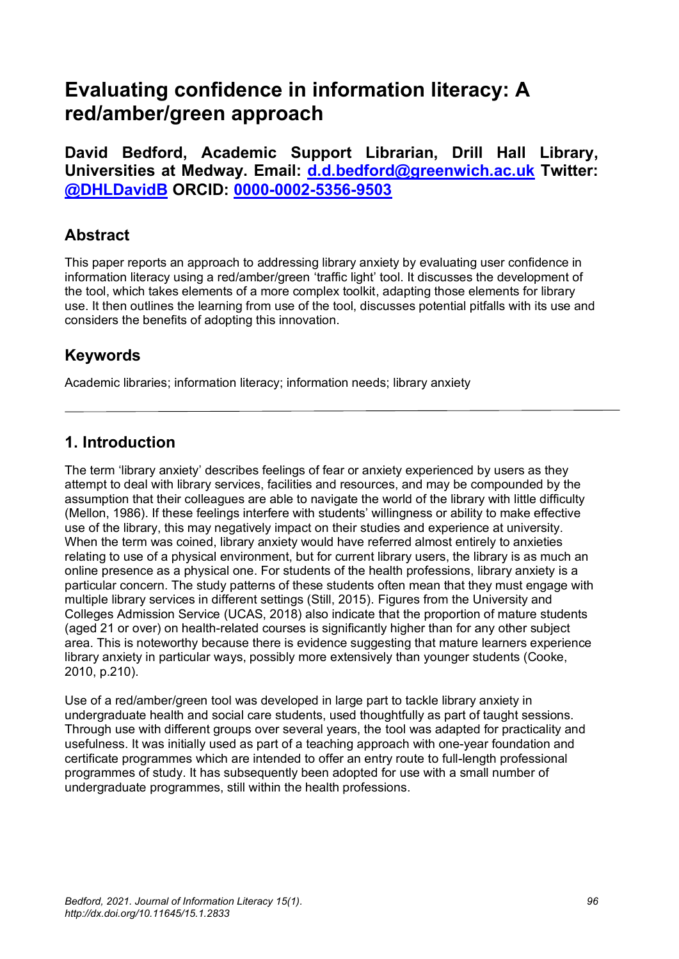## **Evaluating confidence in information literacy: A red/amber/green approach**

**David Bedford, Academic Support Librarian, Drill Hall Library, Universities at Medway. Email: [d.d.bedford@greenwich.ac.uk](mailto:d.d.bedford@greenwich.ac.uk) Twitter: [@DHLDavidB](http://www.twitter.com/DHLDavidB) ORCID: [0000-0002-5356-9503](http://www.orcid.org/0000-0002-5356-9503)**

## **Abstract**

This paper reports an approach to addressing library anxiety by evaluating user confidence in information literacy using a red/amber/green 'traffic light' tool. It discusses the development of the tool, which takes elements of a more complex toolkit, adapting those elements for library use. It then outlines the learning from use of the tool, discusses potential pitfalls with its use and considers the benefits of adopting this innovation.

## **Keywords**

Academic libraries; information literacy; information needs; library anxiety

## **1. Introduction**

The term 'library anxiety' describes feelings of fear or anxiety experienced by users as they attempt to deal with library services, facilities and resources, and may be compounded by the assumption that their colleagues are able to navigate the world of the library with little difficulty (Mellon, 1986). If these feelings interfere with students' willingness or ability to make effective use of the library, this may negatively impact on their studies and experience at university. When the term was coined, library anxiety would have referred almost entirely to anxieties relating to use of a physical environment, but for current library users, the library is as much an online presence as a physical one. For students of the health professions, library anxiety is a particular concern. The study patterns of these students often mean that they must engage with multiple library services in different settings (Still, 2015). Figures from the University and Colleges Admission Service (UCAS, 2018) also indicate that the proportion of mature students (aged 21 or over) on health-related courses is significantly higher than for any other subject area. This is noteworthy because there is evidence suggesting that mature learners experience library anxiety in particular ways, possibly more extensively than younger students (Cooke, 2010, p.210).

Use of a red/amber/green tool was developed in large part to tackle library anxiety in undergraduate health and social care students, used thoughtfully as part of taught sessions. Through use with different groups over several years, the tool was adapted for practicality and usefulness. It was initially used as part of a teaching approach with one-year foundation and certificate programmes which are intended to offer an entry route to full-length professional programmes of study. It has subsequently been adopted for use with a small number of undergraduate programmes, still within the health professions.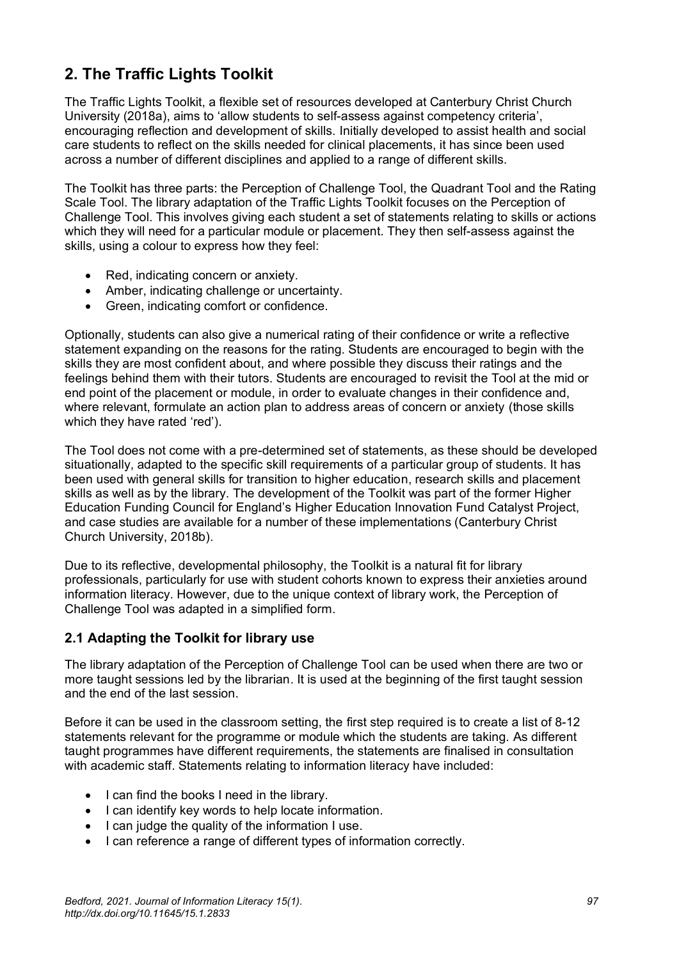## **2. The Traffic Lights Toolkit**

The Traffic Lights Toolkit, a flexible set of resources developed at Canterbury Christ Church University (2018a), aims to 'allow students to self-assess against competency criteria', encouraging reflection and development of skills. Initially developed to assist health and social care students to reflect on the skills needed for clinical placements, it has since been used across a number of different disciplines and applied to a range of different skills.

The Toolkit has three parts: the Perception of Challenge Tool, the Quadrant Tool and the Rating Scale Tool. The library adaptation of the Traffic Lights Toolkit focuses on the Perception of Challenge Tool. This involves giving each student a set of statements relating to skills or actions which they will need for a particular module or placement. They then self-assess against the skills, using a colour to express how they feel:

- Red, indicating concern or anxiety.
- Amber, indicating challenge or uncertainty.
- Green, indicating comfort or confidence.

Optionally, students can also give a numerical rating of their confidence or write a reflective statement expanding on the reasons for the rating. Students are encouraged to begin with the skills they are most confident about, and where possible they discuss their ratings and the feelings behind them with their tutors. Students are encouraged to revisit the Tool at the mid or end point of the placement or module, in order to evaluate changes in their confidence and, where relevant, formulate an action plan to address areas of concern or anxiety (those skills which they have rated 'red').

The Tool does not come with a pre-determined set of statements, as these should be developed situationally, adapted to the specific skill requirements of a particular group of students. It has been used with general skills for transition to higher education, research skills and placement skills as well as by the library. The development of the Toolkit was part of the former Higher Education Funding Council for England's Higher Education Innovation Fund Catalyst Project, and case studies are available for a number of these implementations (Canterbury Christ Church University, 2018b).

Due to its reflective, developmental philosophy, the Toolkit is a natural fit for library professionals, particularly for use with student cohorts known to express their anxieties around information literacy. However, due to the unique context of library work, the Perception of Challenge Tool was adapted in a simplified form.

#### **2.1 Adapting the Toolkit for library use**

The library adaptation of the Perception of Challenge Tool can be used when there are two or more taught sessions led by the librarian. It is used at the beginning of the first taught session and the end of the last session.

Before it can be used in the classroom setting, the first step required is to create a list of 8-12 statements relevant for the programme or module which the students are taking. As different taught programmes have different requirements, the statements are finalised in consultation with academic staff. Statements relating to information literacy have included:

- I can find the books I need in the library.
- I can identify key words to help locate information.
- I can judge the quality of the information I use.
- I can reference a range of different types of information correctly.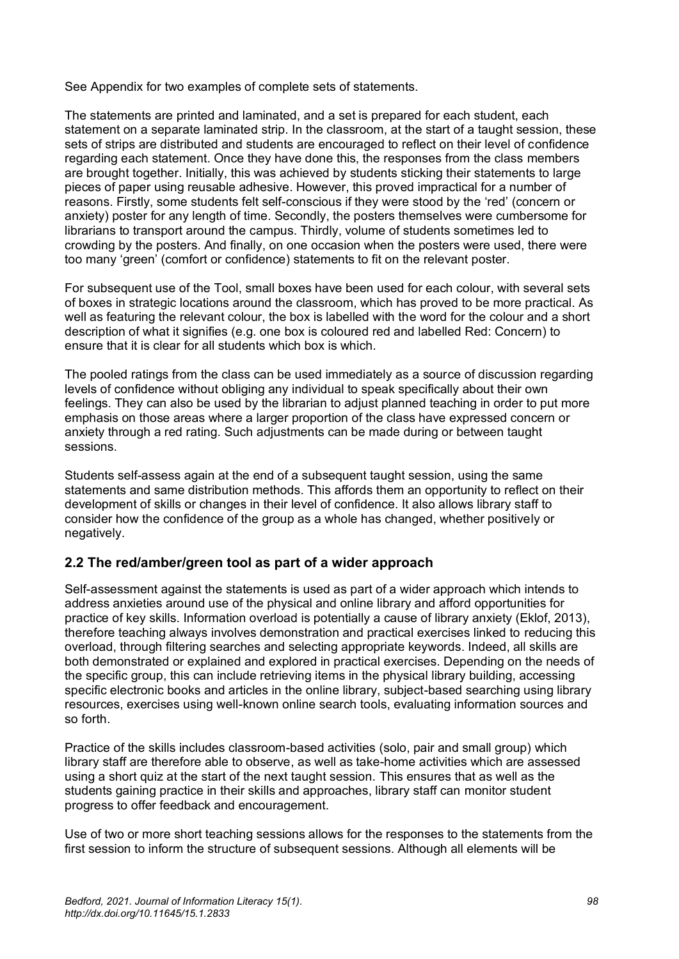See Appendix for two examples of complete sets of statements.

The statements are printed and laminated, and a set is prepared for each student, each statement on a separate laminated strip. In the classroom, at the start of a taught session, these sets of strips are distributed and students are encouraged to reflect on their level of confidence regarding each statement. Once they have done this, the responses from the class members are brought together. Initially, this was achieved by students sticking their statements to large pieces of paper using reusable adhesive. However, this proved impractical for a number of reasons. Firstly, some students felt self-conscious if they were stood by the 'red' (concern or anxiety) poster for any length of time. Secondly, the posters themselves were cumbersome for librarians to transport around the campus. Thirdly, volume of students sometimes led to crowding by the posters. And finally, on one occasion when the posters were used, there were too many 'green' (comfort or confidence) statements to fit on the relevant poster.

For subsequent use of the Tool, small boxes have been used for each colour, with several sets of boxes in strategic locations around the classroom, which has proved to be more practical. As well as featuring the relevant colour, the box is labelled with the word for the colour and a short description of what it signifies (e.g. one box is coloured red and labelled Red: Concern) to ensure that it is clear for all students which box is which.

The pooled ratings from the class can be used immediately as a source of discussion regarding levels of confidence without obliging any individual to speak specifically about their own feelings. They can also be used by the librarian to adjust planned teaching in order to put more emphasis on those areas where a larger proportion of the class have expressed concern or anxiety through a red rating. Such adjustments can be made during or between taught sessions.

Students self-assess again at the end of a subsequent taught session, using the same statements and same distribution methods. This affords them an opportunity to reflect on their development of skills or changes in their level of confidence. It also allows library staff to consider how the confidence of the group as a whole has changed, whether positively or negatively.

#### **2.2 The red/amber/green tool as part of a wider approach**

Self-assessment against the statements is used as part of a wider approach which intends to address anxieties around use of the physical and online library and afford opportunities for practice of key skills. Information overload is potentially a cause of library anxiety (Eklof, 2013), therefore teaching always involves demonstration and practical exercises linked to reducing this overload, through filtering searches and selecting appropriate keywords. Indeed, all skills are both demonstrated or explained and explored in practical exercises. Depending on the needs of the specific group, this can include retrieving items in the physical library building, accessing specific electronic books and articles in the online library, subject-based searching using library resources, exercises using well-known online search tools, evaluating information sources and so forth.

Practice of the skills includes classroom-based activities (solo, pair and small group) which library staff are therefore able to observe, as well as take-home activities which are assessed using a short quiz at the start of the next taught session. This ensures that as well as the students gaining practice in their skills and approaches, library staff can monitor student progress to offer feedback and encouragement.

Use of two or more short teaching sessions allows for the responses to the statements from the first session to inform the structure of subsequent sessions. Although all elements will be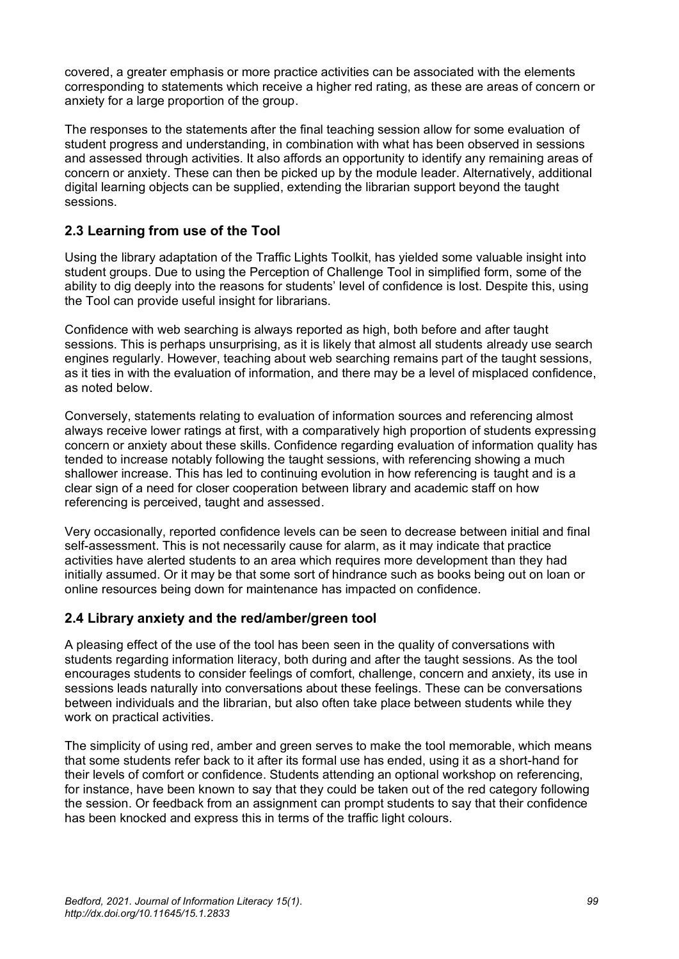covered, a greater emphasis or more practice activities can be associated with the elements corresponding to statements which receive a higher red rating, as these are areas of concern or anxiety for a large proportion of the group.

The responses to the statements after the final teaching session allow for some evaluation of student progress and understanding, in combination with what has been observed in sessions and assessed through activities. It also affords an opportunity to identify any remaining areas of concern or anxiety. These can then be picked up by the module leader. Alternatively, additional digital learning objects can be supplied, extending the librarian support beyond the taught sessions.

#### **2.3 Learning from use of the Tool**

Using the library adaptation of the Traffic Lights Toolkit, has yielded some valuable insight into student groups. Due to using the Perception of Challenge Tool in simplified form, some of the ability to dig deeply into the reasons for students' level of confidence is lost. Despite this, using the Tool can provide useful insight for librarians.

Confidence with web searching is always reported as high, both before and after taught sessions. This is perhaps unsurprising, as it is likely that almost all students already use search engines regularly. However, teaching about web searching remains part of the taught sessions, as it ties in with the evaluation of information, and there may be a level of misplaced confidence, as noted below.

Conversely, statements relating to evaluation of information sources and referencing almost always receive lower ratings at first, with a comparatively high proportion of students expressing concern or anxiety about these skills. Confidence regarding evaluation of information quality has tended to increase notably following the taught sessions, with referencing showing a much shallower increase. This has led to continuing evolution in how referencing is taught and is a clear sign of a need for closer cooperation between library and academic staff on how referencing is perceived, taught and assessed.

Very occasionally, reported confidence levels can be seen to decrease between initial and final self-assessment. This is not necessarily cause for alarm, as it may indicate that practice activities have alerted students to an area which requires more development than they had initially assumed. Or it may be that some sort of hindrance such as books being out on loan or online resources being down for maintenance has impacted on confidence.

#### **2.4 Library anxiety and the red/amber/green tool**

A pleasing effect of the use of the tool has been seen in the quality of conversations with students regarding information literacy, both during and after the taught sessions. As the tool encourages students to consider feelings of comfort, challenge, concern and anxiety, its use in sessions leads naturally into conversations about these feelings. These can be conversations between individuals and the librarian, but also often take place between students while they work on practical activities.

The simplicity of using red, amber and green serves to make the tool memorable, which means that some students refer back to it after its formal use has ended, using it as a short-hand for their levels of comfort or confidence. Students attending an optional workshop on referencing, for instance, have been known to say that they could be taken out of the red category following the session. Or feedback from an assignment can prompt students to say that their confidence has been knocked and express this in terms of the traffic light colours.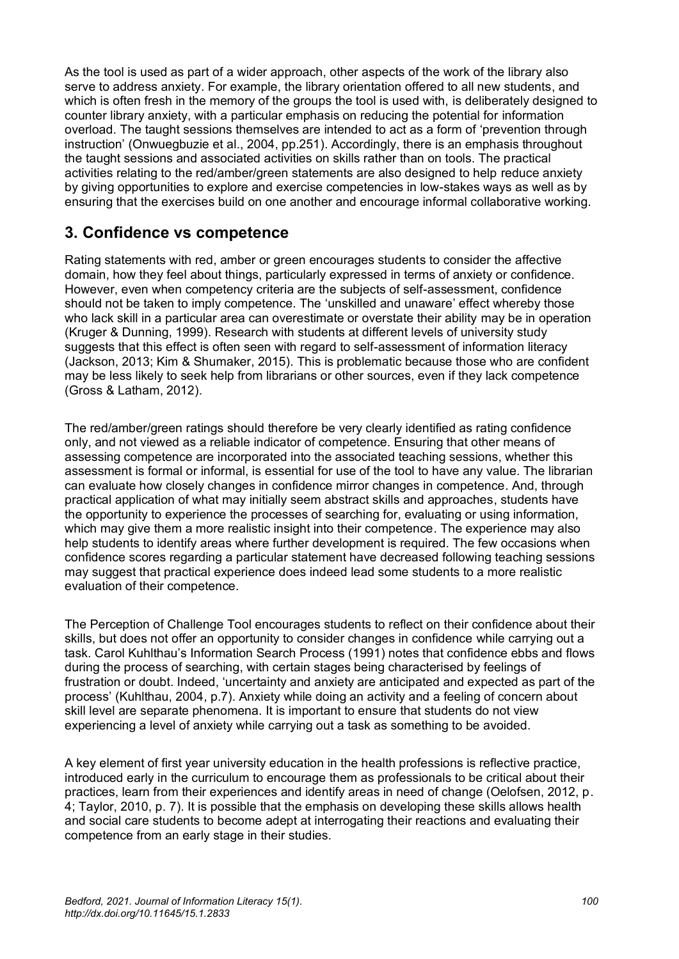As the tool is used as part of a wider approach, other aspects of the work of the library also serve to address anxiety. For example, the library orientation offered to all new students, and which is often fresh in the memory of the groups the tool is used with, is deliberately designed to counter library anxiety, with a particular emphasis on reducing the potential for information overload. The taught sessions themselves are intended to act as a form of 'prevention through instruction' (Onwuegbuzie et al., 2004, pp.251). Accordingly, there is an emphasis throughout the taught sessions and associated activities on skills rather than on tools. The practical activities relating to the red/amber/green statements are also designed to help reduce anxiety by giving opportunities to explore and exercise competencies in low-stakes ways as well as by ensuring that the exercises build on one another and encourage informal collaborative working.

## **3. Confidence vs competence**

Rating statements with red, amber or green encourages students to consider the affective domain, how they feel about things, particularly expressed in terms of anxiety or confidence. However, even when competency criteria are the subjects of self-assessment, confidence should not be taken to imply competence. The 'unskilled and unaware' effect whereby those who lack skill in a particular area can overestimate or overstate their ability may be in operation (Kruger & Dunning, 1999). Research with students at different levels of university study suggests that this effect is often seen with regard to self-assessment of information literacy (Jackson, 2013; Kim & Shumaker, 2015). This is problematic because those who are confident may be less likely to seek help from librarians or other sources, even if they lack competence (Gross & Latham, 2012).

The red/amber/green ratings should therefore be very clearly identified as rating confidence only, and not viewed as a reliable indicator of competence. Ensuring that other means of assessing competence are incorporated into the associated teaching sessions, whether this assessment is formal or informal, is essential for use of the tool to have any value. The librarian can evaluate how closely changes in confidence mirror changes in competence. And, through practical application of what may initially seem abstract skills and approaches, students have the opportunity to experience the processes of searching for, evaluating or using information, which may give them a more realistic insight into their competence. The experience may also help students to identify areas where further development is required. The few occasions when confidence scores regarding a particular statement have decreased following teaching sessions may suggest that practical experience does indeed lead some students to a more realistic evaluation of their competence.

The Perception of Challenge Tool encourages students to reflect on their confidence about their skills, but does not offer an opportunity to consider changes in confidence while carrying out a task. Carol Kuhlthau's Information Search Process (1991) notes that confidence ebbs and flows during the process of searching, with certain stages being characterised by feelings of frustration or doubt. Indeed, 'uncertainty and anxiety are anticipated and expected as part of the process' (Kuhlthau, 2004, p.7). Anxiety while doing an activity and a feeling of concern about skill level are separate phenomena. It is important to ensure that students do not view experiencing a level of anxiety while carrying out a task as something to be avoided.

A key element of first year university education in the health professions is reflective practice, introduced early in the curriculum to encourage them as professionals to be critical about their practices, learn from their experiences and identify areas in need of change (Oelofsen, 2012, p. 4; Taylor, 2010, p. 7). It is possible that the emphasis on developing these skills allows health and social care students to become adept at interrogating their reactions and evaluating their competence from an early stage in their studies.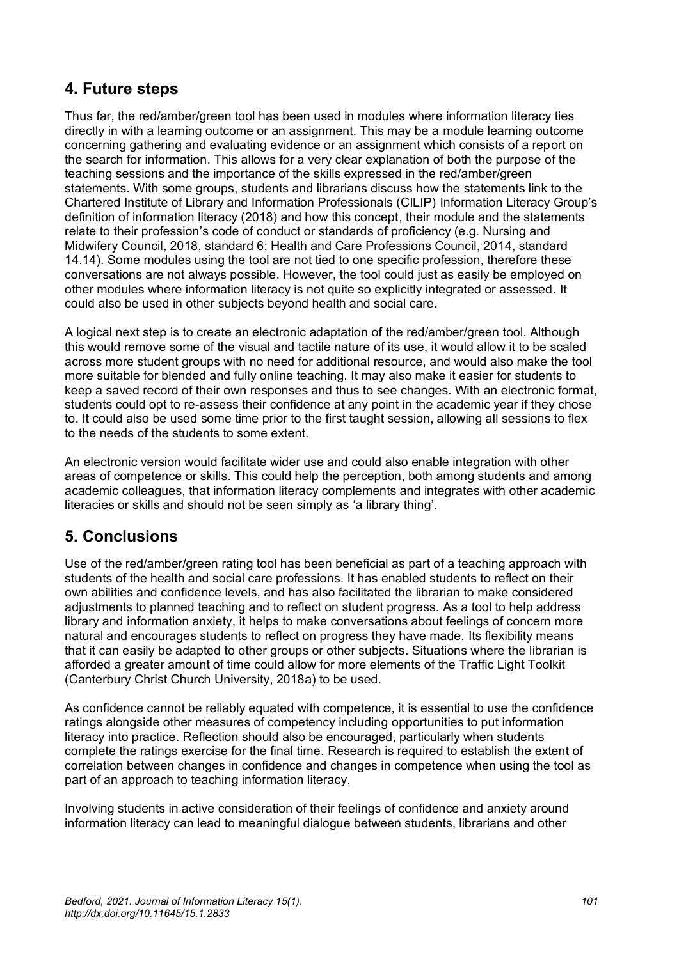## **4. Future steps**

Thus far, the red/amber/green tool has been used in modules where information literacy ties directly in with a learning outcome or an assignment. This may be a module learning outcome concerning gathering and evaluating evidence or an assignment which consists of a report on the search for information. This allows for a very clear explanation of both the purpose of the teaching sessions and the importance of the skills expressed in the red/amber/green statements. With some groups, students and librarians discuss how the statements link to the Chartered Institute of Library and Information Professionals (CILIP) Information Literacy Group's definition of information literacy (2018) and how this concept, their module and the statements relate to their profession's code of conduct or standards of proficiency (e.g. Nursing and Midwifery Council, 2018, standard 6; Health and Care Professions Council, 2014, standard 14.14). Some modules using the tool are not tied to one specific profession, therefore these conversations are not always possible. However, the tool could just as easily be employed on other modules where information literacy is not quite so explicitly integrated or assessed. It could also be used in other subjects beyond health and social care.

A logical next step is to create an electronic adaptation of the red/amber/green tool. Although this would remove some of the visual and tactile nature of its use, it would allow it to be scaled across more student groups with no need for additional resource, and would also make the tool more suitable for blended and fully online teaching. It may also make it easier for students to keep a saved record of their own responses and thus to see changes. With an electronic format, students could opt to re-assess their confidence at any point in the academic year if they chose to. It could also be used some time prior to the first taught session, allowing all sessions to flex to the needs of the students to some extent.

An electronic version would facilitate wider use and could also enable integration with other areas of competence or skills. This could help the perception, both among students and among academic colleagues, that information literacy complements and integrates with other academic literacies or skills and should not be seen simply as 'a library thing'.

## **5. Conclusions**

Use of the red/amber/green rating tool has been beneficial as part of a teaching approach with students of the health and social care professions. It has enabled students to reflect on their own abilities and confidence levels, and has also facilitated the librarian to make considered adjustments to planned teaching and to reflect on student progress. As a tool to help address library and information anxiety, it helps to make conversations about feelings of concern more natural and encourages students to reflect on progress they have made. Its flexibility means that it can easily be adapted to other groups or other subjects. Situations where the librarian is afforded a greater amount of time could allow for more elements of the Traffic Light Toolkit (Canterbury Christ Church University, 2018a) to be used.

As confidence cannot be reliably equated with competence, it is essential to use the confidence ratings alongside other measures of competency including opportunities to put information literacy into practice. Reflection should also be encouraged, particularly when students complete the ratings exercise for the final time. Research is required to establish the extent of correlation between changes in confidence and changes in competence when using the tool as part of an approach to teaching information literacy.

Involving students in active consideration of their feelings of confidence and anxiety around information literacy can lead to meaningful dialogue between students, librarians and other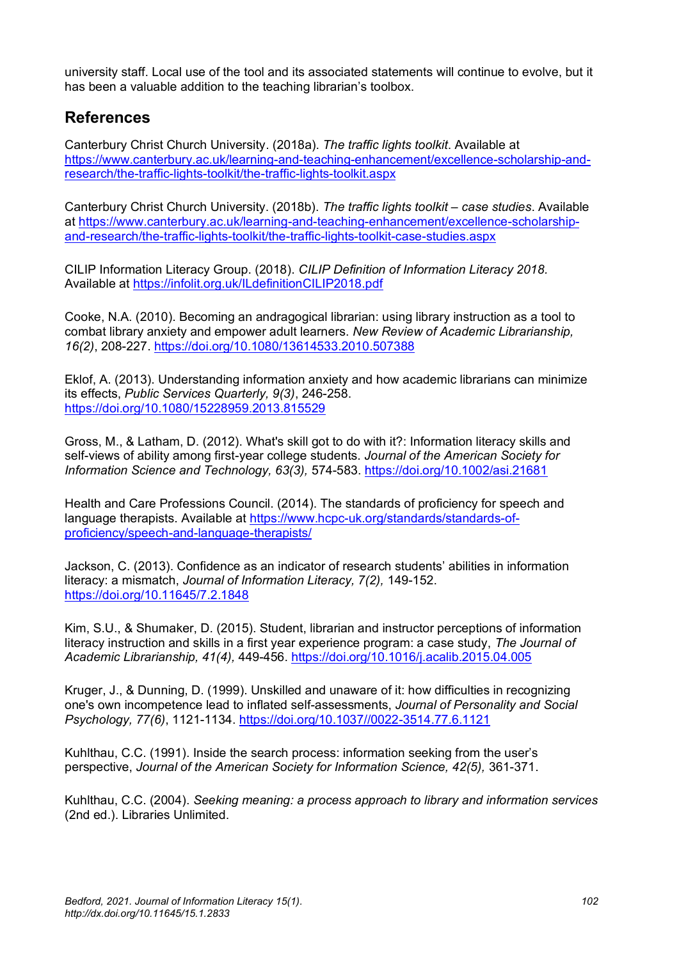university staff. Local use of the tool and its associated statements will continue to evolve, but it has been a valuable addition to the teaching librarian's toolbox.

## **References**

Canterbury Christ Church University. (2018a). *The traffic lights toolkit*. Available at [https://www.canterbury.ac.uk/learning-and-teaching-enhancement/excellence-scholarship-and](https://www.canterbury.ac.uk/learning-and-teaching-enhancement/excellence-scholarship-and-research/the-traffic-lights-toolkit/the-traffic-lights-toolkit.aspx)[research/the-traffic-lights-toolkit/the-traffic-lights-toolkit.aspx](https://www.canterbury.ac.uk/learning-and-teaching-enhancement/excellence-scholarship-and-research/the-traffic-lights-toolkit/the-traffic-lights-toolkit.aspx)

Canterbury Christ Church University. (2018b). *The traffic lights toolkit – case studies*. Available at [https://www.canterbury.ac.uk/learning-and-teaching-enhancement/excellence-scholarship](https://www.canterbury.ac.uk/learning-and-teaching-enhancement/excellence-scholarship-and-research/the-traffic-lights-toolkit/the-traffic-lights-toolkit-case-studies.aspx)[and-research/the-traffic-lights-toolkit/the-traffic-lights-toolkit-case-studies.aspx](https://www.canterbury.ac.uk/learning-and-teaching-enhancement/excellence-scholarship-and-research/the-traffic-lights-toolkit/the-traffic-lights-toolkit-case-studies.aspx)

CILIP Information Literacy Group. (2018). *CILIP Definition of Information Literacy 2018.* Available at<https://infolit.org.uk/ILdefinitionCILIP2018.pdf>

Cooke, N.A. (2010). Becoming an andragogical librarian: using library instruction as a tool to combat library anxiety and empower adult learners. *New Review of Academic Librarianship, 16(2)*, 208-227.<https://doi.org/10.1080/13614533.2010.507388>

Eklof, A. (2013). Understanding information anxiety and how academic librarians can minimize its effects, *Public Services Quarterly, 9(3)*, 246-258. <https://doi.org/10.1080/15228959.2013.815529>

Gross, M., & Latham, D. (2012). What's skill got to do with it?: Information literacy skills and self-views of ability among first-year college students. *Journal of the American Society for Information Science and Technology, 63(3),* 574-583.<https://doi.org/10.1002/asi.21681>

Health and Care Professions Council. (2014). The standards of proficiency for speech and language therapists. Available a[t https://www.hcpc-uk.org/standards/standards-of](https://www.hcpc-uk.org/standards/standards-of-proficiency/speech-and-language-therapists/)[proficiency/speech-and-language-therapists/](https://www.hcpc-uk.org/standards/standards-of-proficiency/speech-and-language-therapists/)

Jackson, C. (2013). Confidence as an indicator of research students' abilities in information literacy: a mismatch, *Journal of Information Literacy, 7(2),* 149-152. <https://doi.org/10.11645/7.2.1848>

Kim, S.U., & Shumaker, D. (2015). Student, librarian and instructor perceptions of information literacy instruction and skills in a first year experience program: a case study, *The Journal of Academic Librarianship, 41(4),* 449-456.<https://doi.org/10.1016/j.acalib.2015.04.005>

Kruger, J., & Dunning, D. (1999). Unskilled and unaware of it: how difficulties in recognizing one's own incompetence lead to inflated self-assessments, *Journal of Personality and Social Psychology, 77(6)*, 1121-1134. [https://doi.org/10.1037//0022-3514.77.6.1121](https://doi.org/10.1037/0022-3514.77.6.1121)

Kuhlthau, C.C. (1991). Inside the search process: information seeking from the user's perspective, *Journal of the American Society for Information Science, 42(5),* 361-371.

Kuhlthau, C.C. (2004). *Seeking meaning: a process approach to library and information services* (2nd ed.). Libraries Unlimited.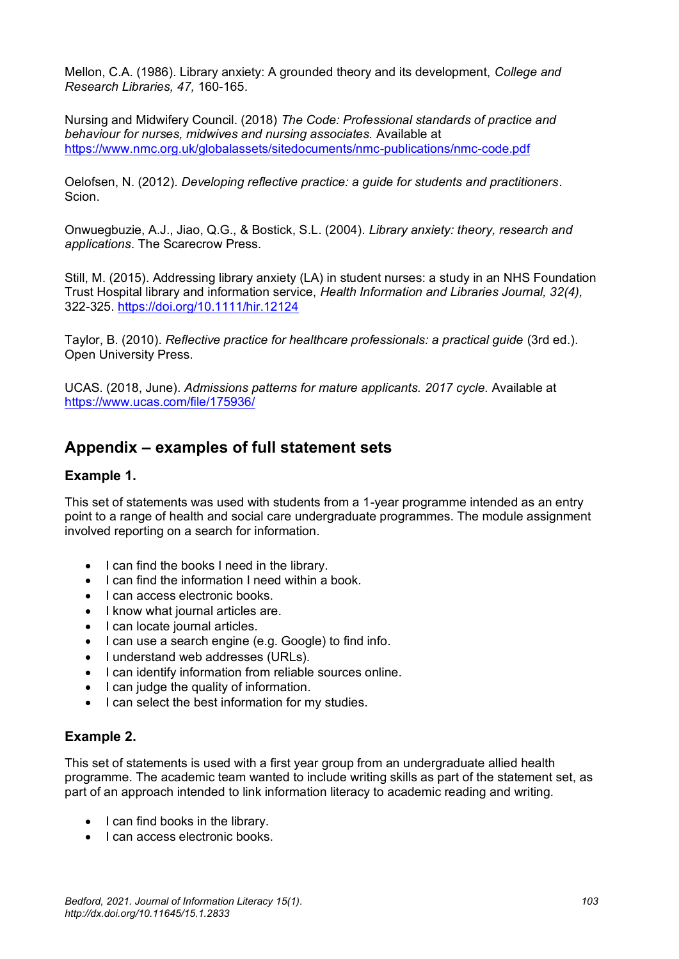Mellon, C.A. (1986). Library anxiety: A grounded theory and its development, *College and Research Libraries, 47,* 160-165.

Nursing and Midwifery Council. (2018) *The Code: Professional standards of practice and behaviour for nurses, midwives and nursing associates.* Available at <https://www.nmc.org.uk/globalassets/sitedocuments/nmc-publications/nmc-code.pdf>

Oelofsen, N. (2012). *Developing reflective practice: a guide for students and practitioners*. Scion.

Onwuegbuzie, A.J., Jiao, Q.G., & Bostick, S.L. (2004). *Library anxiety: theory, research and applications*. The Scarecrow Press.

Still, M. (2015). Addressing library anxiety (LA) in student nurses: a study in an NHS Foundation Trust Hospital library and information service, *Health Information and Libraries Journal, 32(4),* 322-325.<https://doi.org/10.1111/hir.12124>

Taylor, B. (2010). *Reflective practice for healthcare professionals: a practical guide* (3rd ed.). Open University Press.

UCAS. (2018, June). *Admissions patterns for mature applicants. 2017 cycle.* Available at <https://www.ucas.com/file/175936/>

### **Appendix – examples of full statement sets**

#### **Example 1.**

This set of statements was used with students from a 1-year programme intended as an entry point to a range of health and social care undergraduate programmes. The module assignment involved reporting on a search for information.

- I can find the books I need in the library.
- I can find the information I need within a book.
- I can access electronic books.
- I know what journal articles are.
- I can locate journal articles.
- I can use a search engine (e.g. Google) to find info.
- I understand web addresses (URLs).
- I can identify information from reliable sources online.
- I can judge the quality of information.
- I can select the best information for my studies.

#### **Example 2.**

This set of statements is used with a first year group from an undergraduate allied health programme. The academic team wanted to include writing skills as part of the statement set, as part of an approach intended to link information literacy to academic reading and writing.

- I can find books in the library.
- I can access electronic books.